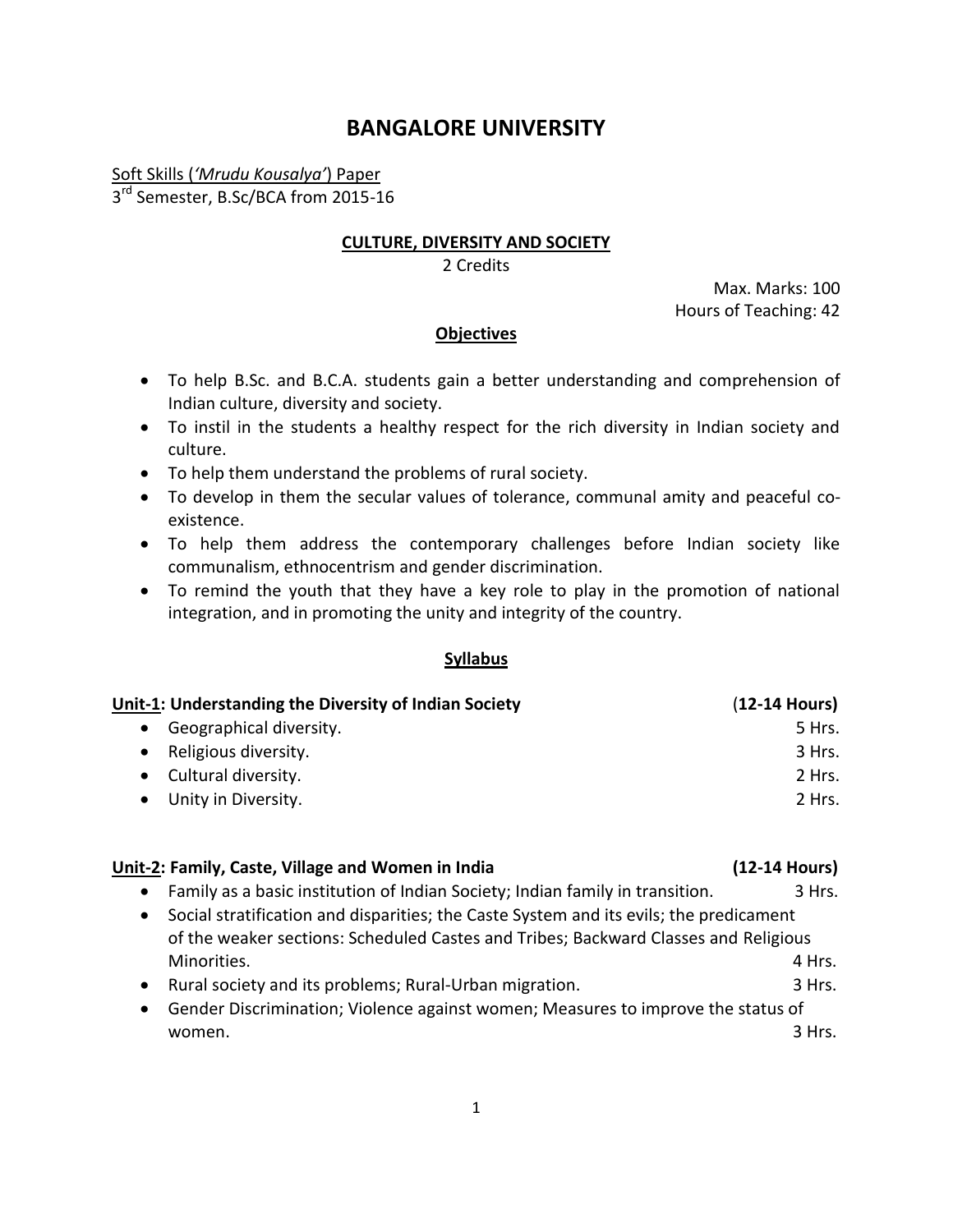# **BANGALORE UNIVERSITY**

Soft Skills (*'Mrudu Kousalya'*) Paper 3<sup>rd</sup> Semester, B.Sc/BCA from 2015-16

### **CULTURE, DIVERSITY AND SOCIETY**

2 Credits

Max. Marks: 100 Hours of Teaching: 42

### **Objectives**

- To help B.Sc. and B.C.A. students gain a better understanding and comprehension of Indian culture, diversity and society.
- To instil in the students a healthy respect for the rich diversity in Indian society and culture.
- To help them understand the problems of rural society.
- To develop in them the secular values of tolerance, communal amity and peaceful coexistence.
- To help them address the contemporary challenges before Indian society like communalism, ethnocentrism and gender discrimination.
- To remind the youth that they have a key role to play in the promotion of national integration, and in promoting the unity and integrity of the country.

### **Syllabus**

| Unit-1: Understanding the Diversity of Indian Society | $(12-14$ Hours) |
|-------------------------------------------------------|-----------------|
| Geographical diversity.                               | 5 Hrs.          |
| Religious diversity.                                  | 3 Hrs.          |
| • Cultural diversity.                                 | 2 Hrs.          |
| Unity in Diversity.                                   | 2 Hrs.          |
|                                                       |                 |

### **Unit-2: Family, Caste, Village and Women in India (12-14 Hours)**

- Family as a basic institution of Indian Society; Indian family in transition. 3 Hrs.
- Social stratification and disparities; the Caste System and its evils; the predicament of the weaker sections: Scheduled Castes and Tribes; Backward Classes and Religious Minorities. 4 Hrs.
- Rural society and its problems; Rural-Urban migration. The manner of the set of the set of the set of the set of the set of the set of the set of the set of the set of the set of the set of the set of the set of the set
- Gender Discrimination; Violence against women; Measures to improve the status of women. 3 Hrs.